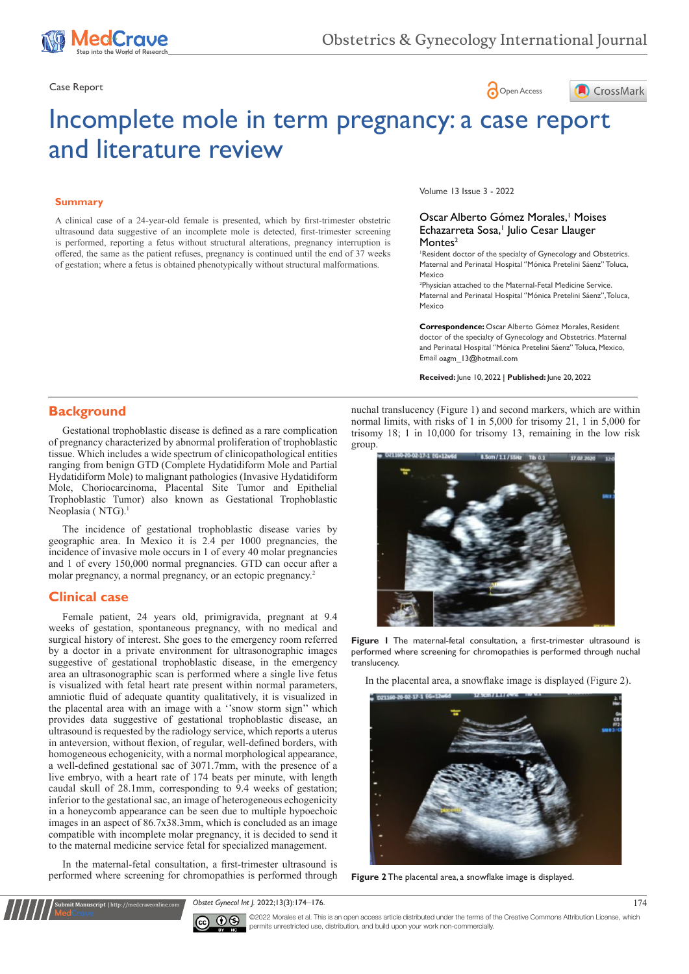

Case Report **Case Report** 



# Incomplete mole in term pregnancy: a case report and literature review

#### **Summary**

A clinical case of a 24-year-old female is presented, which by first-trimester obstetric ultrasound data suggestive of an incomplete mole is detected, first-trimester screening is performed, reporting a fetus without structural alterations, pregnancy interruption is offered, the same as the patient refuses, pregnancy is continued until the end of 37 weeks of gestation; where a fetus is obtained phenotypically without structural malformations.

Volume 13 Issue 3 - 2022

#### Oscar Alberto Gómez Morales,<sup>1</sup> Moises Echazarreta Sosa,<sup>1</sup> Julio Cesar Llauger Montes<sup>2</sup>

1 Resident doctor of the specialty of Gynecology and Obstetrics. Maternal and Perinatal Hospital ''Mónica Pretelini Sáenz'' Toluca, Mexico

2 Physician attached to the Maternal-Fetal Medicine Service. Maternal and Perinatal Hospital ''Mónica Pretelini Sáenz'', Toluca, Mexico

**Correspondence:** Oscar Alberto Gómez Morales, Resident doctor of the specialty of Gynecology and Obstetrics. Maternal and Perinatal Hospital ''Mónica Pretelini Sáenz'' Toluca, Mexico, Email oagm 13@hotmail.com

**Received:** June 10, 2022 | **Published:** June 20, 2022

# **Background**

Gestational trophoblastic disease is defined as a rare complication of pregnancy characterized by abnormal proliferation of trophoblastic tissue. Which includes a wide spectrum of clinicopathological entities ranging from benign GTD (Complete Hydatidiform Mole and Partial Hydatidiform Mole) to malignant pathologies (Invasive Hydatidiform Mole, Choriocarcinoma, Placental Site Tumor and Epithelial Trophoblastic Tumor) also known as Gestational Trophoblastic Neoplasia (NTG).<sup>1</sup>

The incidence of gestational trophoblastic disease varies by geographic area. In Mexico it is 2.4 per 1000 pregnancies, the incidence of invasive mole occurs in 1 of every 40 molar pregnancies and 1 of every 150,000 normal pregnancies. GTD can occur after a molar pregnancy, a normal pregnancy, or an ectopic pregnancy.<sup>2</sup>

#### **Clinical case**

Female patient, 24 years old, primigravida, pregnant at 9.4 weeks of gestation, spontaneous pregnancy, with no medical and surgical history of interest. She goes to the emergency room referred by a doctor in a private environment for ultrasonographic images suggestive of gestational trophoblastic disease, in the emergency area an ultrasonographic scan is performed where a single live fetus is visualized with fetal heart rate present within normal parameters, amniotic fluid of adequate quantity qualitatively, it is visualized in the placental area with an image with a ''snow storm sign'' which provides data suggestive of gestational trophoblastic disease, an ultrasound is requested by the radiology service, which reports a uterus in anteversion, without flexion, of regular, well-defined borders, with homogeneous echogenicity, with a normal morphological appearance, a well-defined gestational sac of 3071.7mm, with the presence of a live embryo, with a heart rate of 174 beats per minute, with length caudal skull of 28.1mm, corresponding to 9.4 weeks of gestation; inferior to the gestational sac, an image of heterogeneous echogenicity in a honeycomb appearance can be seen due to multiple hypoechoic images in an aspect of 86.7x38.3mm, which is concluded as an image compatible with incomplete molar pregnancy, it is decided to send it to the maternal medicine service fetal for specialized management.

In the maternal-fetal consultation, a first-trimester ultrasound is performed where screening for chromopathies is performed through

**Submit Manuscript** | http://medcraveonline.com

nuchal translucency (Figure 1) and second markers, which are within normal limits, with risks of 1 in 5,000 for trisomy 21, 1 in 5,000 for trisomy 18; 1 in 10,000 for trisomy 13, remaining in the low risk group.



**Figure 1** The maternal-fetal consultation, a first-trimester ultrasound is performed where screening for chromopathies is performed through nuchal translucency.

In the placental area, a snowflake image is displayed (Figure 2).



**Figure 2** The placental area, a snowflake image is displayed.

*Obstet Gynecol Int J.* 2022;13(3):174‒176. 174

©2022 Morales et al. This is an open access article distributed under the terms of the Creative Commons Attribution License, which permits unrestricted use, distribution, and build upon your work non-commercially.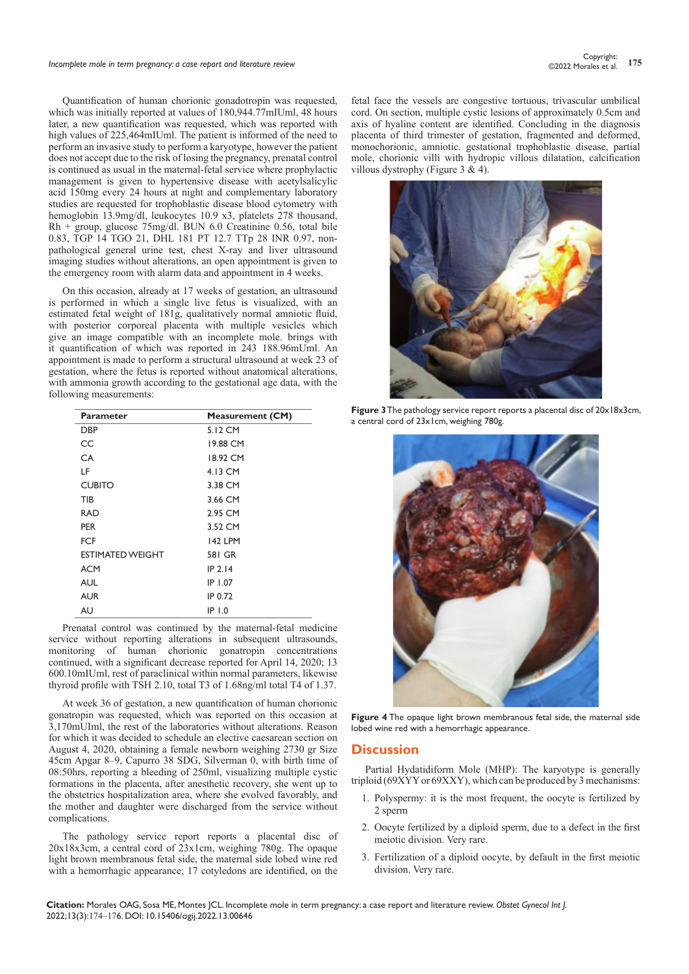# *Incomplete mole in term pregnancy: a case report and literature review* **<sup>175</sup>** Copyright:

Quantification of human chorionic gonadotropin was requested, which was initially reported at values of 180,944.77mIUml, 48 hours later, a new quantification was requested, which was reported with high values of 225,464mIUml. The patient is informed of the need to perform an invasive study to perform a karyotype, however the patient does not accept due to the risk of losing the pregnancy, prenatal control is continued as usual in the maternal-fetal service where prophylactic management is given to hypertensive disease with acetylsalicylic acid 150mg every 24 hours at night and complementary laboratory studies are requested for trophoblastic disease blood cytometry with hemoglobin 13.9mg/dl, leukocytes 10.9 x3, platelets 278 thousand, Rh + group, glucose 75mg/dl. BUN 6.0 Creatinine 0.56, total bile 0.83, TGP 14 TGO 21, DHL 181 PT 12.7 TTp 28 INR 0.97, nonpathological general urine test, chest X-ray and liver ultrasound imaging studies without alterations, an open appointment is given to the emergency room with alarm data and appointment in 4 weeks.

On this occasion, already at 17 weeks of gestation, an ultrasound is performed in which a single live fetus is visualized, with an estimated fetal weight of 181g, qualitatively normal amniotic fluid, with posterior corporeal placenta with multiple vesicles which give an image compatible with an incomplete mole. brings with it quantification of which was reported in 243 188.96mUml. An appointment is made to perform a structural ultrasound at week 23 of gestation, where the fetus is reported without anatomical alterations, with ammonia growth according to the gestational age data, with the following measurements:

| <b>Parameter</b>        | <b>Measurement (CM)</b> |
|-------------------------|-------------------------|
| DBP                     | 5.12 CM                 |
| CC                      | 19.88 CM                |
| СA                      | 18.92 CM                |
| LF                      | 4.13 CM                 |
| <b>CUBITO</b>           | 3.38 CM                 |
| TIB                     | 3.66 CM                 |
| <b>RAD</b>              | 2.95 CM                 |
| <b>PER</b>              | 3.52 CM                 |
| FCF                     | <b>142 LPM</b>          |
| <b>ESTIMATED WEIGHT</b> | 581 GR                  |
| <b>ACM</b>              | $IP$ 2.14               |
| <b>AUL</b>              | IP 1.07                 |
| <b>AUR</b>              | IP 0.72                 |
| AU                      | $IP$ 1.0                |

Prenatal control was continued by the maternal-fetal medicine service without reporting alterations in subsequent ultrasounds, monitoring of human chorionic gonatropin concentrations continued, with a significant decrease reported for April 14, 2020; 13 600.10mIUml, rest of paraclinical within normal parameters, likewise thyroid profile with TSH 2.10, total T3 of 1.68ng/ml total T4 of 1.37.

At week 36 of gestation, a new quantification of human chorionic gonatropin was requested, which was reported on this occasion at 3,170mUIml, the rest of the laboratories without alterations. Reason for which it was decided to schedule an elective caesarean section on August 4, 2020, obtaining a female newborn weighing 2730 gr Size 45cm Apgar 8–9, Capurro 38 SDG, Silverman 0, with birth time of 08:50hrs, reporting a bleeding of 250ml, visualizing multiple cystic formations in the placenta, after anesthetic recovery, she went up to the obstetrics hospitalization area, where she evolved favorably, and the mother and daughter were discharged from the service without complications.

The pathology service report reports a placental disc of 20x18x3cm, a central cord of 23x1cm, weighing 780g. The opaque light brown membranous fetal side, the maternal side lobed wine red with a hemorrhagic appearance; 17 cotyledons are identified, on the fetal face the vessels are congestive tortuous, trivascular umbilical cord. On section, multiple cystic lesions of approximately 0.5cm and axis of hyaline content are identified. Concluding in the diagnosis placenta of third trimester of gestation, fragmented and deformed, monochorionic, amniotic. gestational trophoblastic disease, partial mole, chorionic villi with hydropic villous dilatation, calcification villous dystrophy (Figure 3  $\&$  4).



**Figure 3** The pathology service report reports a placental disc of 20x18x3cm, a central cord of 23x1cm, weighing 780g.



**Figure 4** The opaque light brown membranous fetal side, the maternal side lobed wine red with a hemorrhagic appearance.

#### **Discussion**

Partial Hydatidiform Mole (MHP): The karyotype is generally triploid (69XYY or 69XXY), which can be produced by 3 mechanisms:

- 1. Polyspermy: it is the most frequent, the oocyte is fertilized by 2 sperm
- 2. Oocyte fertilized by a diploid sperm, due to a defect in the first meiotic division. Very rare.
- 3. Fertilization of a diploid oocyte, by default in the first meiotic division. Very rare.